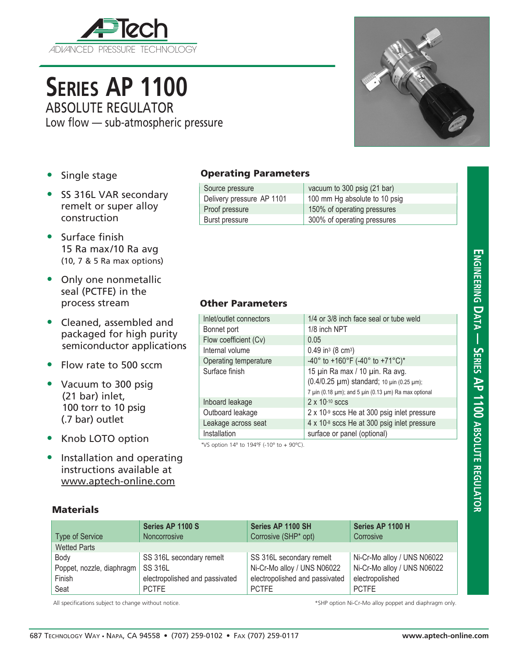

**Series AP 1100**

Low flow — sub-atmospheric pressure

ABSOLUTE REGULATOR



- Single stage
- SS 316L VAR secondary remelt or super alloy construction
- Surface finish 15 Ra max/10 Ra avg (10, 7 & 5 Ra max options)
- Only one nonmetallic seal (PCTFE) in the process stream
- Cleaned, assembled and packaged for high purity semiconductor applications
- Flow rate to 500 sccm
- Vacuum to 300 psig (21 bar) inlet, 100 torr to 10 psig (.7 bar) outlet
- Knob LOTO option
- Installation and operating instructions available at www.aptech-online.com

## Operating Parameters

| Source pressure           | vacuum to 300 psig (21 bar)   |
|---------------------------|-------------------------------|
| Delivery pressure AP 1101 | 100 mm Hg absolute to 10 psig |
| Proof pressure            | 150% of operating pressures   |
| Burst pressure            | 300% of operating pressures   |

## Other Parameters

| Inlet/outlet connectors                                                                                                                                                                                                                                                                                            | 1/4 or 3/8 inch face seal or tube weld                                                                                               |  |
|--------------------------------------------------------------------------------------------------------------------------------------------------------------------------------------------------------------------------------------------------------------------------------------------------------------------|--------------------------------------------------------------------------------------------------------------------------------------|--|
| Bonnet port                                                                                                                                                                                                                                                                                                        | 1/8 inch NPT                                                                                                                         |  |
| Flow coefficient (Cv)                                                                                                                                                                                                                                                                                              | 0.05                                                                                                                                 |  |
| Internal volume                                                                                                                                                                                                                                                                                                    | 0.49 in <sup>3</sup> (8 cm <sup>3</sup> )                                                                                            |  |
| Operating temperature                                                                                                                                                                                                                                                                                              | -40° to +160°F (-40° to +71°C)*                                                                                                      |  |
| Surface finish                                                                                                                                                                                                                                                                                                     | 15 µin Ra max / 10 µin. Ra avg.<br>(0.4/0.25 µm) standard; 10 µin (0.25 µm);<br>7 µin (0.18 µm); and 5 µin (0.13 µm) Ra max optional |  |
| Inboard leakage                                                                                                                                                                                                                                                                                                    | $2 \times 10^{-10}$ sccs                                                                                                             |  |
| Outboard leakage                                                                                                                                                                                                                                                                                                   | 2 x 10-9 sccs He at 300 psig inlet pressure                                                                                          |  |
| Leakage across seat                                                                                                                                                                                                                                                                                                | 4 x 10-8 sccs He at 300 psig inlet pressure                                                                                          |  |
| Installation                                                                                                                                                                                                                                                                                                       | surface or panel (optional)                                                                                                          |  |
| $\sqrt{2}$ $\sqrt{2}$ $\sqrt{2}$ $\sqrt{2}$ $\sqrt{2}$ $\sqrt{2}$ $\sqrt{2}$ $\sqrt{2}$ $\sqrt{2}$ $\sqrt{2}$ $\sqrt{2}$ $\sqrt{2}$ $\sqrt{2}$ $\sqrt{2}$ $\sqrt{2}$ $\sqrt{2}$ $\sqrt{2}$ $\sqrt{2}$ $\sqrt{2}$ $\sqrt{2}$ $\sqrt{2}$ $\sqrt{2}$ $\sqrt{2}$ $\sqrt{2}$ $\sqrt{2}$ $\sqrt{2}$ $\sqrt{2}$ $\sqrt{2$ |                                                                                                                                      |  |

\*VS option 14º to 194ºF (-10º to + 90ºC).

## **Materials**

| <b>Type of Service</b>    | Series AP 1100 S<br>Noncorrosive | Series AP 1100 SH<br>Corrosive (SHP* opt) | Series AP 1100 H<br>Corrosive |
|---------------------------|----------------------------------|-------------------------------------------|-------------------------------|
| <b>Wetted Parts</b>       |                                  |                                           |                               |
| Body                      | SS 316L secondary remelt         | SS 316L secondary remelt                  | Ni-Cr-Mo alloy / UNS N06022   |
| Poppet, nozzle, diaphragm | <b>SS 316L</b>                   | Ni-Cr-Mo alloy / UNS N06022               | Ni-Cr-Mo alloy / UNS N06022   |
| Finish                    | electropolished and passivated   | electropolished and passivated            | electropolished               |
| Seat                      | <b>PCTFE</b>                     | <b>PCTFE</b>                              | <b>PCTFE</b>                  |

All specifications subject to change without notice.  $*$ SHP option Ni-Cr-Mo alloy poppet and diaphragm only.